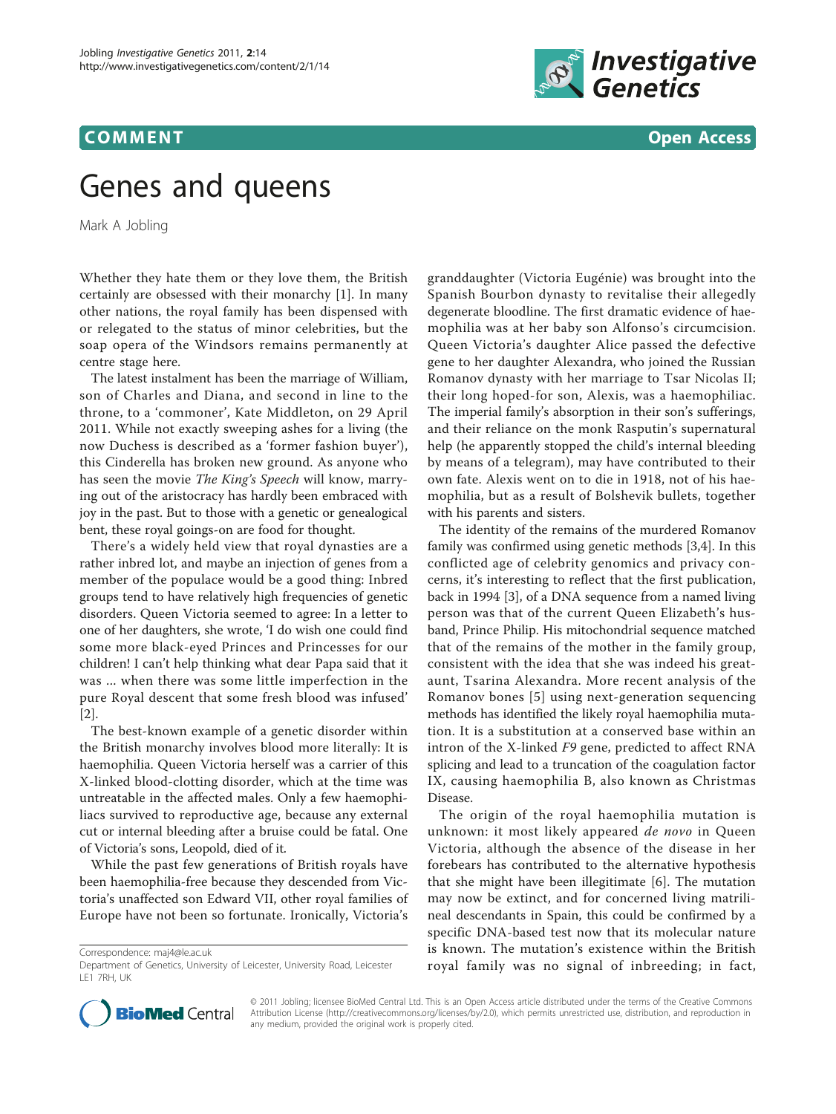

**COMMENT** COMMENT COMMENT COMMENT  $\sim$ 

# Genes and queens

Mark A Jobling

Whether they hate them or they love them, the British certainly are obsessed with their monarchy [\[1](#page-1-0)]. In many other nations, the royal family has been dispensed with or relegated to the status of minor celebrities, but the soap opera of the Windsors remains permanently at centre stage here.

The latest instalment has been the marriage of William, son of Charles and Diana, and second in line to the throne, to a 'commoner', Kate Middleton, on 29 April 2011. While not exactly sweeping ashes for a living (the now Duchess is described as a 'former fashion buyer'), this Cinderella has broken new ground. As anyone who has seen the movie The King's Speech will know, marrying out of the aristocracy has hardly been embraced with joy in the past. But to those with a genetic or genealogical bent, these royal goings-on are food for thought.

There's a widely held view that royal dynasties are a rather inbred lot, and maybe an injection of genes from a member of the populace would be a good thing: Inbred groups tend to have relatively high frequencies of genetic disorders. Queen Victoria seemed to agree: In a letter to one of her daughters, she wrote, 'I do wish one could find some more black-eyed Princes and Princesses for our children! I can't help thinking what dear Papa said that it was ... when there was some little imperfection in the pure Royal descent that some fresh blood was infused' [[2\]](#page-1-0).

The best-known example of a genetic disorder within the British monarchy involves blood more literally: It is haemophilia. Queen Victoria herself was a carrier of this X-linked blood-clotting disorder, which at the time was untreatable in the affected males. Only a few haemophiliacs survived to reproductive age, because any external cut or internal bleeding after a bruise could be fatal. One of Victoria's sons, Leopold, died of it.

While the past few generations of British royals have been haemophilia-free because they descended from Victoria's unaffected son Edward VII, other royal families of Europe have not been so fortunate. Ironically, Victoria's

Correspondence: [maj4@le.ac.uk](mailto:maj4@le.ac.uk)

granddaughter (Victoria Eugénie) was brought into the Spanish Bourbon dynasty to revitalise their allegedly degenerate bloodline. The first dramatic evidence of haemophilia was at her baby son Alfonso's circumcision. Queen Victoria's daughter Alice passed the defective gene to her daughter Alexandra, who joined the Russian Romanov dynasty with her marriage to Tsar Nicolas II; their long hoped-for son, Alexis, was a haemophiliac. The imperial family's absorption in their son's sufferings, and their reliance on the monk Rasputin's supernatural help (he apparently stopped the child's internal bleeding by means of a telegram), may have contributed to their own fate. Alexis went on to die in 1918, not of his haemophilia, but as a result of Bolshevik bullets, together with his parents and sisters.

The identity of the remains of the murdered Romanov family was confirmed using genetic methods [\[3,4](#page-1-0)]. In this conflicted age of celebrity genomics and privacy concerns, it's interesting to reflect that the first publication, back in 1994 [\[3](#page-1-0)], of a DNA sequence from a named living person was that of the current Queen Elizabeth's husband, Prince Philip. His mitochondrial sequence matched that of the remains of the mother in the family group, consistent with the idea that she was indeed his greataunt, Tsarina Alexandra. More recent analysis of the Romanov bones [\[5\]](#page-1-0) using next-generation sequencing methods has identified the likely royal haemophilia mutation. It is a substitution at a conserved base within an intron of the X-linked F9 gene, predicted to affect RNA splicing and lead to a truncation of the coagulation factor IX, causing haemophilia B, also known as Christmas Disease.

The origin of the royal haemophilia mutation is unknown: it most likely appeared de novo in Queen Victoria, although the absence of the disease in her forebears has contributed to the alternative hypothesis that she might have been illegitimate [\[6](#page-1-0)]. The mutation may now be extinct, and for concerned living matrilineal descendants in Spain, this could be confirmed by a specific DNA-based test now that its molecular nature is known. The mutation's existence within the British royal family was no signal of inbreeding; in fact,



© 2011 Jobling; licensee BioMed Central Ltd. This is an Open Access article distributed under the terms of the Creative Commons Attribution License [\(http://creativecommons.org/licenses/by/2.0](http://creativecommons.org/licenses/by/2.0)), which permits unrestricted use, distribution, and reproduction in any medium, provided the original work is properly cited.

Department of Genetics, University of Leicester, University Road, Leicester LE1 7RH, UK